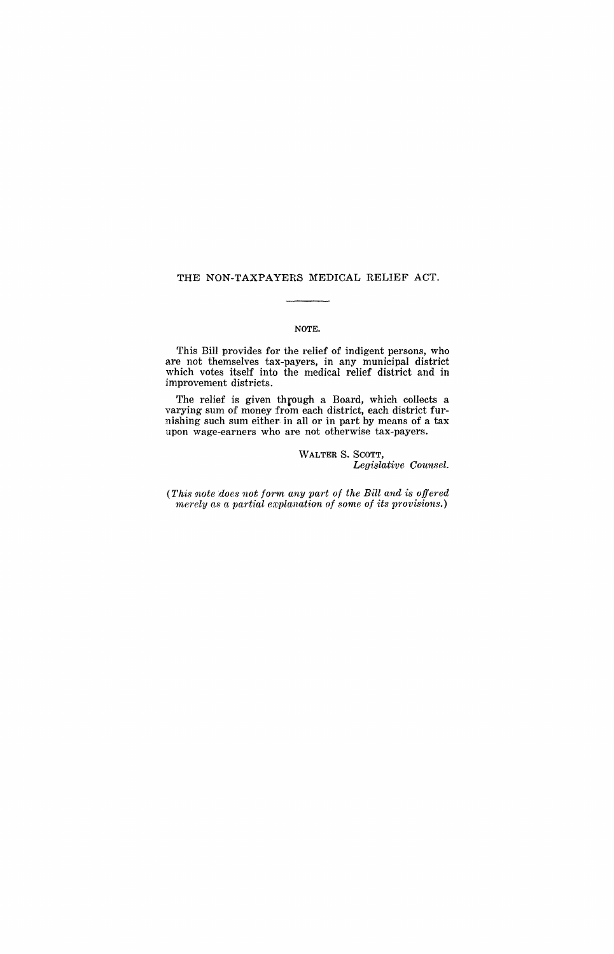## THE NON-TAXPAYERS MEDICAL RELIEF ACT.

#### NOTE.

This Bill provides for the relief of indigent persons, who are not themselves tax-payers, in any municipal district which votes itself into the medical relief district and in improvement districts.

The relief is given through a Board, which collects a varying sum of money from each district, each district furnishing such sum either in all or in part by means of a tax upon wage-earners who are not otherwise tax-payers.

#### WALTER S. SCOTT, *Legislative Counsel.*

*(This note does not form any part of the Bill and is offered 1nerely as a partial explanation of some of its provisions.)*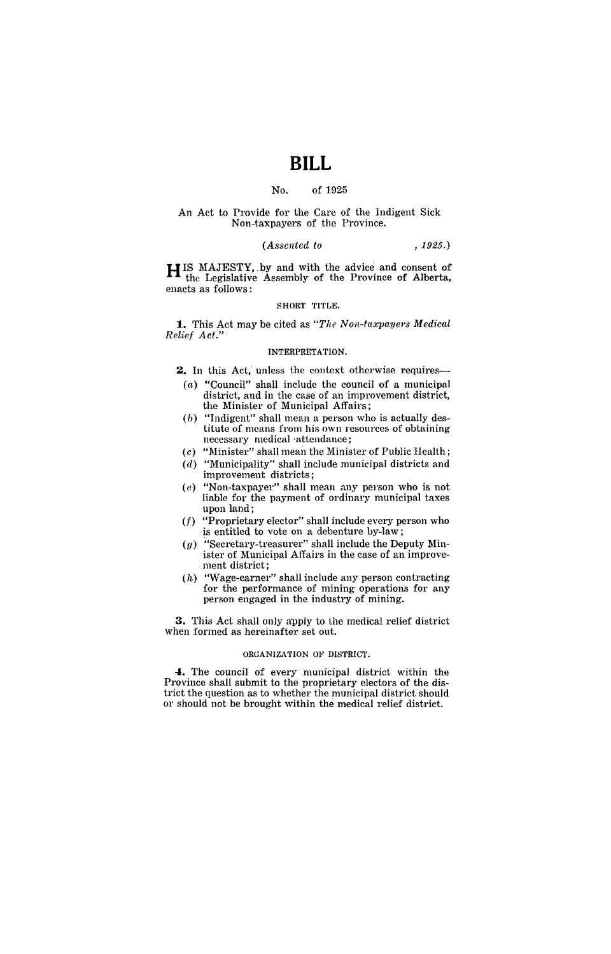## **BILL**

#### No. of 1925

#### An Act to Provide for the Care of the Indigent Sick Non-taxpayers of the Province.

### *(Assented to* , 1925.)

H IS MAJESTY,. by and with the advice and consent of the Legislative Assembly of the Province of Alberta, enacts as follows:

#### SHORT TITLE.

**1.** This Act may be cited as "The Non-taxpayers Medical *ReHe! Act."* 

#### INTERPRETATION.

2. In this Act, unless the context otherwise requires-

- $(a)$  "Council" shall include the council of a municipal district, and in the case of an improvement district, the Minister of Municipal Affairs;
- $(b)$  "Indigent" shall mean a person who is actually destitute of means from his own resources of obtaining necessary medical 'attendance;
- (c) "Minister" shall mean the Minister of Public Health;
- (d) "Municipality" shall include municipal districts and improvement districts;
- $(e)$  "Non-taxpayer" shall mean any person who is not liable for the payment of ordinary municipal taxes upon land;
- (f) "Proprietary elector" shall include every person who is entitled to vote on a debenture by-law;
- $(g)$  "Secretary-treasurer" shall include the Deputy Minister of Municipal Affairs in the case of an improvement district;
- (h) "Wage-earner" shall include any person contracting for the performance of mining operations for any person engaged in the industry of mining.

**3.** This Act shall only apply to the medical relief district when formed as hereinafter set out.

#### ORGANIZATION OF DISTRICT.

**-to** The council of every municipal district within the Province shall submit to the proprietary electors of the district the question as to whether the municipal district should or should not be brought within the medical relief district.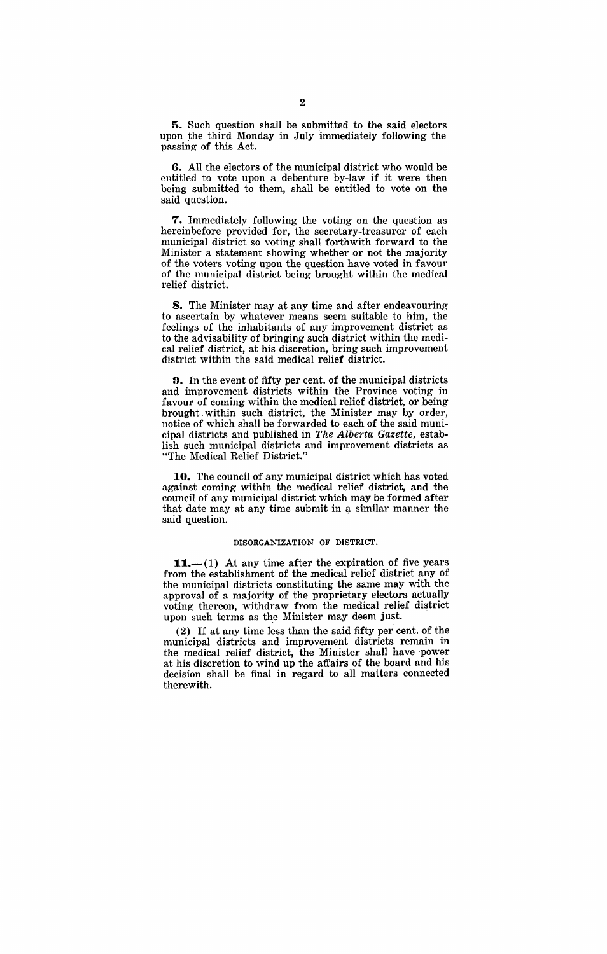**5.** Such question shall be submitted to the said electors upon the third Monday in July immediately following the passing of this Act.

**6.** All the electors of the municipal district who would be entitled to vote upon a debenture by-law if it were then being submitted to them, shall be entitled to vote on the said question.

**7.** Immediately following the voting on the question as hereinbefore provided for, the secretary-treasurer of each municipal district so voting shall forthwith forward to the Minister a statement showing whether or not the majority of the voters voting upon the question have voted in favour of the municipal district being brought within the medical relief district.

**8.** The Minister may at any time and after endeavouring to ascertain by whatever means seem suitable to him, the feelings of the inhabitants of any improvement district as to the advisability of bringing such district within the medical relief district, at his discretion, bring such improvement district within the said medical relief district.

**D.** In the event of fifty per cent. of the municipal districts and improvement districts within the Province voting in favour of coming within the medical relief district, or being brought. within such district, the Minister may by order, notice of which shall be forwarded to each of the said municipal districts and published in *The Alberta Gazette,* establish such municipal districts and improvement districts as "The Medical Relief District."

**10.** The council of any municipal district which has voted against coming within the medical relief district, and the council of any municipal district which may be formed after that date may at any time submit in a similar manner the said question.

#### DISORGANIZATION OF DISTRICT.

**11.**—(1) At any time after the expiration of five years from the establishment of the medical relief district any of the municipal districts constituting the same may with the approval of a majority of the proprietary electors actually voting thereon, withdraw from the medical relief district upon such terms as the Minister may deem just.

(2) If at any time less than the said fifty per cent. of the municipal districts and improvement districts remain in the medical relief district, the Minister shall have power at his discretion to wind up the affairs of the board and his decision shall be final in regard to all matters connected therewith.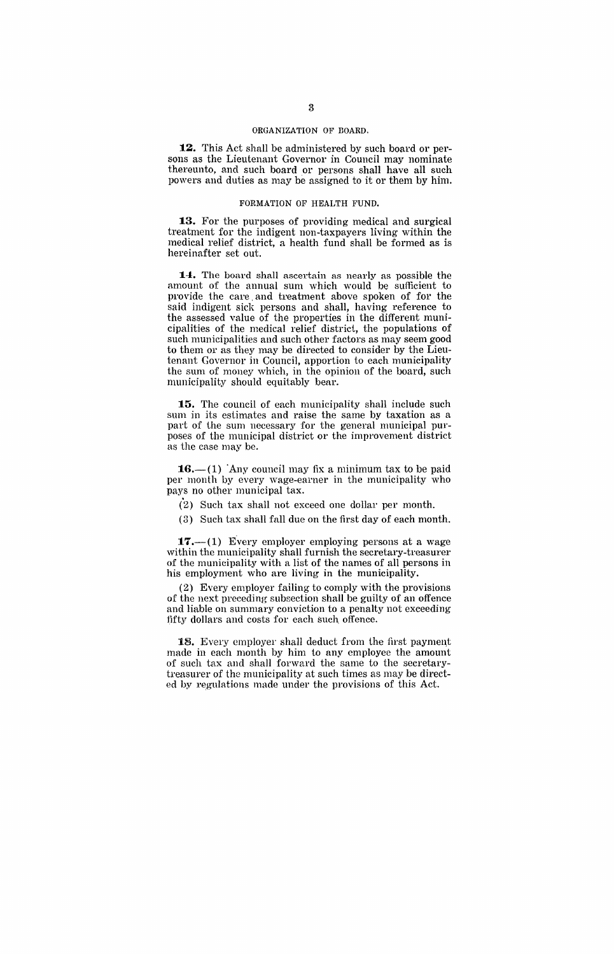#### ORGANIZATION OF BOARD.

**12.** This Act shall be administered by such board or persons as the Lieutenant Governor in Council may nominate thereunto, and such board or persons shall have all such powers and duties as may be assigned to it or them by him.

#### FORMATION OF HEALTH FUND.

**13.** For the purposes of providing medical and surgical treatment for the indigent non-taxpayers living within the medical relief district, a health fund shall be formed as is hereinafter set out.

14. The board shall ascertain as nearly as possible the amount of the annual sum which would be sufficient to provide the care, and treatment above spoken of for the said indigent sick persons and shall, having reference to the assessed value of the properties in the different municipalities of the medical relief district, the populations of such municipalities and such other factors as may seem good to them or as they may be directed to consider by the Lieutenant Governor in Council, apportion to each municipality the sum of money which, in the opinion of the board, such municipality should equitably bear.

**15.** The council of each municipality shall include such sum in its estimates and raise the same by taxation as a part of the sum necessary for the general municipal purposes of the municipal district or the improvement district as the case may be.

 $16.-(1)$  'Any council may fix a minimum tax to be paid per month by every wage-earner in the municipality who pays no other municipal tax.

 $(2)$  Such tax shall not exceed one dollar per month.

(3) Such tax shall fall due on the first day of each month,

 $17.-(1)$  Every employer employing persons at a wage within the municipality shall furnish the secretary-treasurer of the municipality with a list of the names of all persons in his employment who are living in the municipality.

(2) Every employer failing to comply with the provisions of the next preceding subsection shall be guilty of an offence and liable on summary conviction to a penalty not exceeding fifty dollars and costs for each such offence.

18. Every employer shall deduct from the first payment made in each month by him to any employee the amount of such tax and shall forward the same to the secretarytreasurer of the municipality at such times as may be directed by regulations made under the provisions of this Act.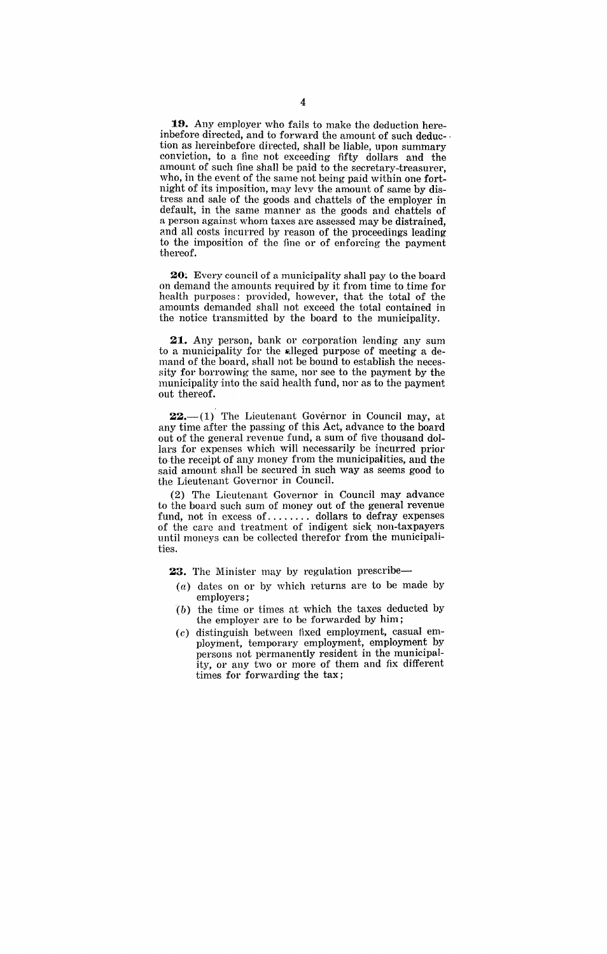**19.** Any employer who fails to make the deduction hereinbefore directed, and to forward the amount of such deduc- . tion as hereinbefore directed, shall be liable, upon summary conviction, to a fine not exceeding fifty dollars and the amount of such fine shall be paid to the secretary-treasurer, who, in the event of the same not being paid within one fortnight of its imposition, may levy the amourit of same by distress and sale of the goods and chattels of the employer in default, in the same manner as the goods and chattels of a person against whom taxes are assessed may be distrained, and all costs incurred by reason of the proceedings leading to the imposition of the fine or of enforcing the payment thereof.

20. Every council of a municipality shall pay to the board on demand the amounts required by it from time to time for health purposes: provided, however, that the total of the amounts demanded shall not exceed the total contained in the notice transmitted by the board to the municipality.

**21.** Any person, bank or corporation lending any sum to a municipality for the alleged purpose of meeting a demand of the board, shall not be bound to establish the necessity for borrowing the same, nor see to the payment by the municipality into the said health fund, nor as to the payment out thereof.

 $22, -1$  The Lieutenant Governor in Council may, at any time after the passing of this Act, advance to the board out of the general revenue fund, a sum of five thousand dollars for expenses which will necessarily be incurred prior to the receipt of any money from the municipalities, and the said amount shall be secured in such way as seems good to the Lieutenant Governor in Council.

(2) The Lieutenant Governor in Council may advance to the board such sum of money out of the general revenue fund, not in excess of........ dollars to defray expenses of the care and treatment of indigent sick. non-taxpayers until moneys can be collected therefor from the municipalities.

23. The Minister may by regulation prescribe-

- (a) dates on or by which returns are to be made by employers;
- *(b)* the time or times at which the taxes deducted by the employer are to be forwarded by him;
- (c) distinguish between fixed employment, casual employment, temporary employment, employment by persons not permanently resident in the municipality, or any two or more of them and fix different times for forwarding the tax;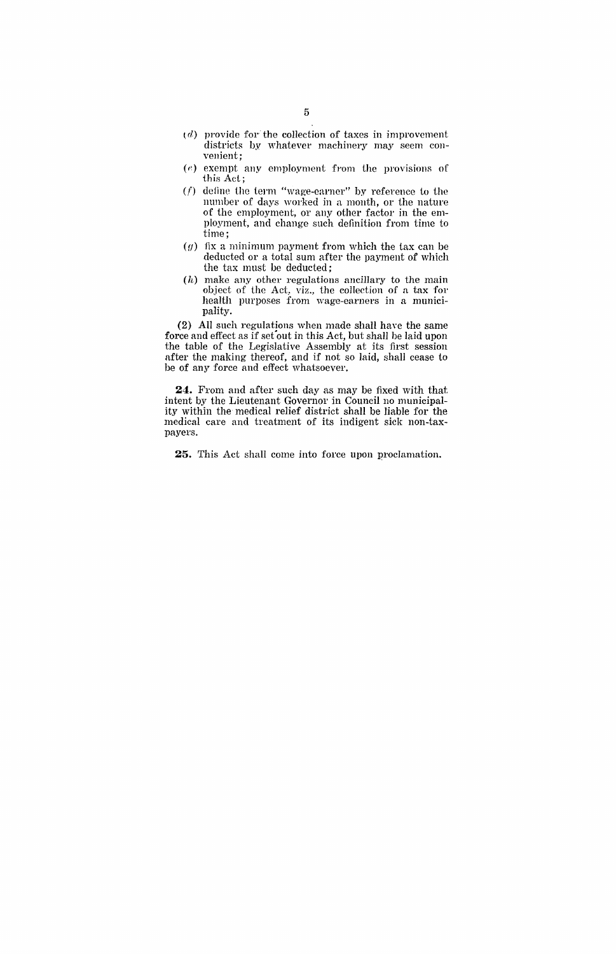- $(d)$  provide for the collection of taxes in improvement districts by whatever machinery may seem convenient;
- $(e)$  exempt any employment from the provisions of this Act;
- $(f)$  define the term "wage-earner" by reference to the number of days worked in a month, or the nature of the employment, or any other factor in the employment, and change such definition from time to time;
- $(g)$  fix a minimum payment from which the tax can be deducted or a total sum after the payment of which the tax must be deducted;
- (h) make any other regulations ancillary to the main object of the Act, viz., the collection of a tax for health purposes from wage-earners in a municipality.

(2) All snch regulations when made shall haye the same force and effect as if set out in this Act, but shall be laid upon the table of the Legislative Assembly at its first session after the making thereof, and if not so laid, shall cease to be of any force and effect whatsoever.

**24.** From and after such day as may be fixed with that intent by the Lieutenant Governor in Council no municipality within the medical relief district shall be liable for the medical care and treatment of its indigent sick non-taxpayers.

**25.** This Act shall come into force upon proclamation.